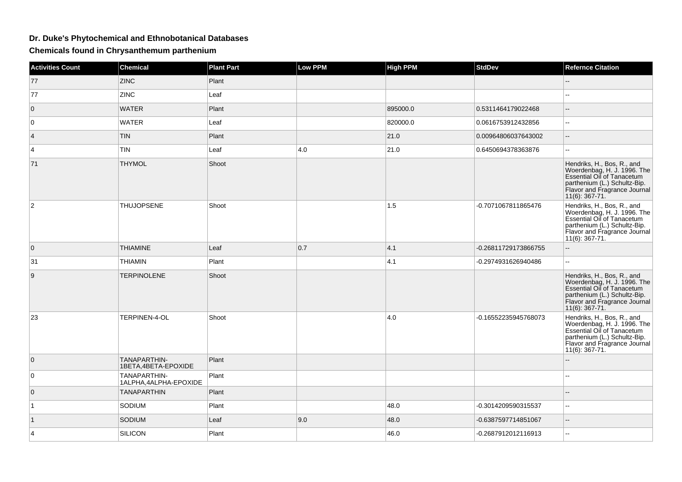## **Dr. Duke's Phytochemical and Ethnobotanical Databases**

**Chemicals found in Chrysanthemum parthenium**

| <b>Activities Count</b> | <b>Chemical</b>                              | <b>Plant Part</b> | Low PPM | <b>High PPM</b> | <b>StdDev</b>        | <b>Refernce Citation</b>                                                                                                                                                     |
|-------------------------|----------------------------------------------|-------------------|---------|-----------------|----------------------|------------------------------------------------------------------------------------------------------------------------------------------------------------------------------|
| 77                      | <b>ZINC</b>                                  | Plant             |         |                 |                      |                                                                                                                                                                              |
| 77                      | <b>ZINC</b>                                  | Leaf              |         |                 |                      |                                                                                                                                                                              |
| $\overline{0}$          | <b>WATER</b>                                 | Plant             |         | 895000.0        | 0.5311464179022468   |                                                                                                                                                                              |
| 0                       | <b>WATER</b>                                 | Leaf              |         | 820000.0        | 0.0616753912432856   | --                                                                                                                                                                           |
| $\overline{4}$          | <b>TIN</b>                                   | Plant             |         | 21.0            | 0.00964806037643002  | $\overline{\phantom{a}}$                                                                                                                                                     |
| $\overline{4}$          | <b>TIN</b>                                   | Leaf              | 4.0     | 21.0            | 0.6450694378363876   | $\sim$                                                                                                                                                                       |
| 71                      | <b>THYMOL</b>                                | Shoot             |         |                 |                      | Hendriks, H., Bos, R., and<br>Woerdenbag, H. J. 1996. The<br>Essential Oil of Tanacetum<br>parthenium (L.) Schultz-Bip.<br>Flavor and Fragrance Journal<br>$11(6)$ : 367-71. |
| $\overline{2}$          | <b>THUJOPSENE</b>                            | Shoot             |         | 1.5             | -0.7071067811865476  | Hendriks, H., Bos, R., and<br>Woerdenbag, H. J. 1996. The<br>Essential Oil of Tanacetum<br>parthenium (L.) Schultz-Bip.<br>Flavor and Fragrance Journal<br>$11(6)$ : 367-71. |
| $\overline{0}$          | <b>THIAMINE</b>                              | Leaf              | 0.7     | 4.1             | -0.26811729173866755 | u.                                                                                                                                                                           |
| 31                      | <b>THIAMIN</b>                               | Plant             |         | 4.1             | -0.2974931626940486  | --                                                                                                                                                                           |
| 9                       | <b>TERPINOLENE</b>                           | Shoot             |         |                 |                      | Hendriks, H., Bos, R., and<br>Woerdenbag, H. J. 1996. The<br>Essential Oil of Tanacetum<br>parthenium (L.) Schultz-Bip.<br>Flavor and Fragrance Journal<br>11(6): 367-71.    |
| 23                      | TERPINEN-4-OL                                | Shoot             |         | 4.0             | -0.16552235945768073 | Hendriks, H., Bos, R., and<br>Woerdenbag, H. J. 1996. The<br>Essential Oil of Tanacetum<br>parthenium (L.) Schultz-Bip.<br>Flavor and Fragrance Journal<br>$11(6)$ : 367-71. |
| $\overline{0}$          | TANAPARTHIN-<br>1BETA, 4BETA-EPOXIDE         | Plant             |         |                 |                      |                                                                                                                                                                              |
| $\overline{0}$          | <b>TANAPARTHIN-</b><br>1ALPHA,4ALPHA-EPOXIDE | Plant             |         |                 |                      |                                                                                                                                                                              |
| $\overline{0}$          | <b>TANAPARTHIN</b>                           | Plant             |         |                 |                      |                                                                                                                                                                              |
| $\overline{1}$          | SODIUM                                       | Plant             |         | 48.0            | -0.3014209590315537  | Ξ.                                                                                                                                                                           |
| $\vert$ 1               | <b>SODIUM</b>                                | Leaf              | 9.0     | 48.0            | -0.6387597714851067  | $\overline{\phantom{a}}$                                                                                                                                                     |
| $\overline{4}$          | SILICON                                      | Plant             |         | 46.0            | -0.2687912012116913  | --                                                                                                                                                                           |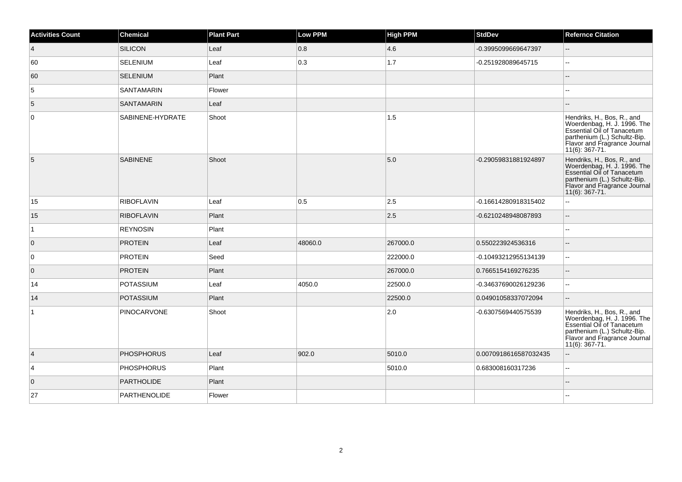| <b>Activities Count</b> | <b>Chemical</b>    | <b>Plant Part</b> | <b>Low PPM</b> | <b>High PPM</b> | <b>StdDev</b>         | <b>Refernce Citation</b>                                                                                                                                                     |
|-------------------------|--------------------|-------------------|----------------|-----------------|-----------------------|------------------------------------------------------------------------------------------------------------------------------------------------------------------------------|
| $\overline{4}$          | SILICON            | Leaf              | 0.8            | 4.6             | -0.3995099669647397   | $\overline{\phantom{a}}$                                                                                                                                                     |
| 60                      | SELENIUM           | Leaf              | 0.3            | 1.7             | -0.251928089645715    | $\overline{a}$                                                                                                                                                               |
| 60                      | SELENIUM           | Plant             |                |                 |                       |                                                                                                                                                                              |
| 5                       | <b>SANTAMARIN</b>  | Flower            |                |                 |                       | --                                                                                                                                                                           |
| 5                       | <b>SANTAMARIN</b>  | Leaf              |                |                 |                       |                                                                                                                                                                              |
| 0                       | SABINENE-HYDRATE   | Shoot             |                | 1.5             |                       | Hendriks, H., Bos, R., and<br>Woerdenbag, H. J. 1996. The<br>Essential Oil of Tanacetum<br>parthenium (L.) Schultz-Bip.<br>Flavor and Fragrance Journal<br>$11(6)$ : 367-71. |
| 5                       | <b>SABINENE</b>    | Shoot             |                | 5.0             | -0.29059831881924897  | Hendriks, H., Bos, R., and<br>Woerdenbag, H. J. 1996. The<br>Essential Oil of Tanacetum<br>parthenium (L.) Schultz-Bip.<br>Flavor and Fragrance Journal<br>$11(6)$ : 367-71. |
| 15                      | <b>RIBOFLAVIN</b>  | Leaf              | 0.5            | 2.5             | -0.16614280918315402  | L.                                                                                                                                                                           |
| 15                      | <b>RIBOFLAVIN</b>  | Plant             |                | 2.5             | -0.6210248948087893   | --                                                                                                                                                                           |
| $\vert$ 1               | <b>REYNOSIN</b>    | Plant             |                |                 |                       | ۵.                                                                                                                                                                           |
| $\overline{0}$          | <b>PROTEIN</b>     | Leaf              | 48060.0        | 267000.0        | 0.550223924536316     |                                                                                                                                                                              |
| $\mathbf 0$             | <b>PROTEIN</b>     | Seed              |                | 222000.0        | -0.10493212955134139  | Ξ.                                                                                                                                                                           |
| $\overline{0}$          | <b>PROTEIN</b>     | Plant             |                | 267000.0        | 0.7665154169276235    | $\overline{\phantom{a}}$                                                                                                                                                     |
| 14                      | <b>POTASSIUM</b>   | Leaf              | 4050.0         | 22500.0         | -0.34637690026129236  | $\overline{\phantom{a}}$                                                                                                                                                     |
| 14                      | POTASSIUM          | Plant             |                | 22500.0         | 0.04901058337072094   | --                                                                                                                                                                           |
| $\mathbf{1}$            | <b>PINOCARVONE</b> | Shoot             |                | 2.0             | -0.6307569440575539   | Hendriks, H., Bos, R., and<br>Woerdenbag, H. J. 1996. The<br>Essential Oil of Tanacetum<br>parthenium (L.) Schultz-Bip.<br>Flavor and Fragrance Journal<br>11(6): 367-71.    |
| $\vert$ 4               | <b>PHOSPHORUS</b>  | Leaf              | 902.0          | 5010.0          | 0.0070918616587032435 | $\overline{a}$                                                                                                                                                               |
| $\overline{4}$          | <b>PHOSPHORUS</b>  | Plant             |                | 5010.0          | 0.683008160317236     | --                                                                                                                                                                           |
| $\overline{0}$          | <b>PARTHOLIDE</b>  | Plant             |                |                 |                       | $-$                                                                                                                                                                          |
| 27                      | PARTHENOLIDE       | Flower            |                |                 |                       |                                                                                                                                                                              |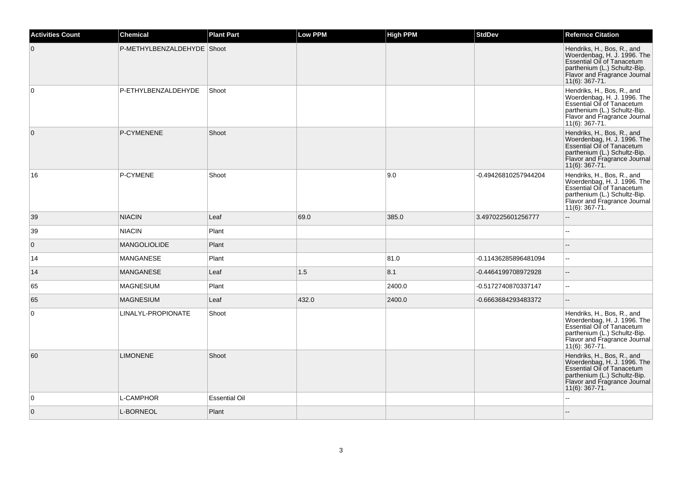| <b>Activities Count</b> | <b>Chemical</b>            | <b>Plant Part</b>    | Low PPM | <b>High PPM</b> | <b>StdDev</b>        | <b>Refernce Citation</b>                                                                                                                                                     |
|-------------------------|----------------------------|----------------------|---------|-----------------|----------------------|------------------------------------------------------------------------------------------------------------------------------------------------------------------------------|
| $\overline{0}$          | P-METHYLBENZALDEHYDE Shoot |                      |         |                 |                      | Hendriks, H., Bos, R., and<br>Woerdenbag, H. J. 1996. The<br>Essential Oil of Tanacetum<br>parthenium (L.) Schultz-Bip.<br>Flavor and Fragrance Journal<br>11(6): 367-71.    |
| $\overline{0}$          | P-ETHYLBENZALDEHYDE        | Shoot                |         |                 |                      | Hendriks, H., Bos, R., and<br>Woerdenbag, H. J. 1996. The<br>Essential Oil of Tanacetum<br>parthenium (L.) Schultz-Bip.<br>Flavor and Fragrance Journal<br>11(6): 367-71.    |
| $\overline{0}$          | P-CYMENENE                 | Shoot                |         |                 |                      | Hendriks, H., Bos, R., and<br>Woerdenbag, H. J. 1996. The<br>Essential Oil of Tanacetum<br>parthenium (L.) Schultz-Bip.<br>Flavor and Fragrance Journal<br>$11(6)$ : 367-71. |
| 16                      | P-CYMENE                   | Shoot                |         | 9.0             | -0.49426810257944204 | Hendriks, H., Bos, R., and<br>Woerdenbag, H. J. 1996. The<br>Essential Oil of Tanacetum<br>parthenium (L.) Schultz-Bip.<br>Flavor and Fragrance Journal<br>11(6): 367-71.    |
| 39                      | <b>NIACIN</b>              | Leaf                 | 69.0    | 385.0           | 3.4970225601256777   | $\overline{\phantom{a}}$                                                                                                                                                     |
| 39                      | <b>NIACIN</b>              | Plant                |         |                 |                      | ä.                                                                                                                                                                           |
| $\overline{0}$          | <b>MANGOLIOLIDE</b>        | Plant                |         |                 |                      |                                                                                                                                                                              |
| 14                      | MANGANESE                  | Plant                |         | 81.0            | -0.11436285896481094 | $\sim$                                                                                                                                                                       |
| 14                      | <b>MANGANESE</b>           | Leaf                 | 1.5     | 8.1             | -0.4464199708972928  | $\overline{a}$                                                                                                                                                               |
| 65                      | <b>MAGNESIUM</b>           | Plant                |         | 2400.0          | -0.5172740870337147  | $\overline{\phantom{a}}$                                                                                                                                                     |
| 65                      | <b>MAGNESIUM</b>           | Leaf                 | 432.0   | 2400.0          | -0.6663684293483372  | $\overline{a}$                                                                                                                                                               |
| $\overline{0}$          | LINALYL-PROPIONATE         | Shoot                |         |                 |                      | Hendriks, H., Bos, R., and<br>Woerdenbag, H. J. 1996. The<br>Essential Oil of Tanacetum<br>parthenium (L.) Schultz-Bip.<br>Flavor and Fragrance Journal<br>11(6): 367-71.    |
| 60                      | <b>LIMONENE</b>            | Shoot                |         |                 |                      | Hendriks, H., Bos, R., and<br>Woerdenbag, H. J. 1996. The<br>Essential Oil of Tanacetum<br>parthenium (L.) Schultz-Bip.<br>Flavor and Fragrance Journal<br>11(6): 367-71.    |
| $\overline{0}$          | <b>L-CAMPHOR</b>           | <b>Essential Oil</b> |         |                 |                      |                                                                                                                                                                              |
| $\overline{0}$          | L-BORNEOL                  | Plant                |         |                 |                      |                                                                                                                                                                              |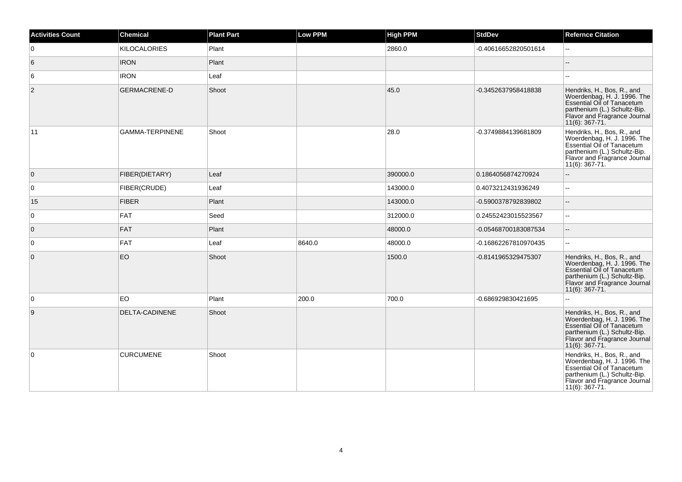| <b>Activities Count</b> | <b>Chemical</b>        | <b>Plant Part</b> | <b>Low PPM</b> | <b>High PPM</b> | <b>StdDev</b>        | <b>Refernce Citation</b>                                                                                                                                                     |
|-------------------------|------------------------|-------------------|----------------|-----------------|----------------------|------------------------------------------------------------------------------------------------------------------------------------------------------------------------------|
| $\overline{0}$          | <b>KILOCALORIES</b>    | Plant             |                | 2860.0          | -0.40616652820501614 | ă.                                                                                                                                                                           |
| 6                       | <b>IRON</b>            | Plant             |                |                 |                      | --                                                                                                                                                                           |
| 6                       | <b>IRON</b>            | Leaf              |                |                 |                      | шш.                                                                                                                                                                          |
| $\overline{2}$          | GERMACRENE-D           | Shoot             |                | 45.0            | -0.3452637958418838  | Hendriks, H., Bos, R., and<br>Woerdenbag, H. J. 1996. The<br>Essential Oil of Tanacetum<br>parthenium (L.) Schultz-Bip.<br>Flavor and Fragrance Journal<br>11(6): 367-71.    |
| 11                      | <b>GAMMA-TERPINENE</b> | Shoot             |                | 28.0            | -0.3749884139681809  | Hendriks, H., Bos, R., and<br>Woerdenbag, H. J. 1996. The<br>Essential Oil of Tanacetum<br>parthenium (L.) Schultz-Bip.<br>Flavor and Fragrance Journal<br>$11(6)$ : 367-71. |
| $\overline{0}$          | FIBER(DIETARY)         | Leaf              |                | 390000.0        | 0.1864056874270924   | ш,                                                                                                                                                                           |
| 0                       | FIBER(CRUDE)           | Leaf              |                | 143000.0        | 0.4073212431936249   | шш.                                                                                                                                                                          |
| 15                      | <b>FIBER</b>           | Plant             |                | 143000.0        | -0.5900378792839802  | --                                                                                                                                                                           |
| $\overline{0}$          | <b>FAT</b>             | Seed              |                | 312000.0        | 0.24552423015523567  | Щ,                                                                                                                                                                           |
| $\overline{0}$          | <b>FAT</b>             | Plant             |                | 48000.0         | -0.05468700183087534 | $-$                                                                                                                                                                          |
| 0                       | FAT                    | Leaf              | 8640.0         | 48000.0         | -0.16862267810970435 | $\overline{\phantom{a}}$                                                                                                                                                     |
| $\overline{0}$          | EO                     | Shoot             |                | 1500.0          | -0.8141965329475307  | Hendriks, H., Bos, R., and<br>Woerdenbag, H. J. 1996. The<br>Essential Oil of Tanacetum<br>parthenium (L.) Schultz-Bip.<br>Flavor and Fragrance Journal<br>11(6): 367-71.    |
| 0                       | EO.                    | Plant             | 200.0          | 700.0           | -0.686929830421695   | Щ,                                                                                                                                                                           |
| 9                       | <b>DELTA-CADINENE</b>  | Shoot             |                |                 |                      | Hendriks, H., Bos, R., and<br>Woerdenbag, H. J. 1996. The<br>Essential Oil of Tanacetum<br>parthenium (L.) Schultz-Bip.<br>Flavor and Fragrance Journal<br>11(6): 367-71.    |
| 0                       | <b>CURCUMENE</b>       | Shoot             |                |                 |                      | Hendriks, H., Bos, R., and<br>Woerdenbag, H. J. 1996. The<br>Essential Oil of Tanacetum<br>parthenium (L.) Schultz-Bip.<br>Flavor and Fragrance Journal<br>11(6): 367-71.    |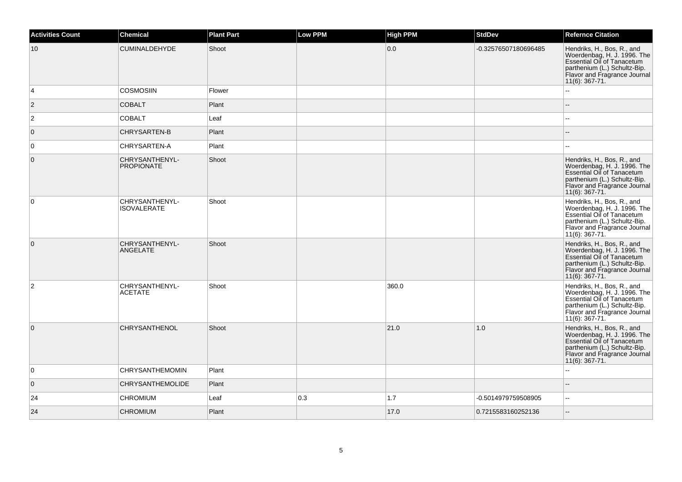| <b>Activities Count</b> | <b>Chemical</b>                      | <b>Plant Part</b> | <b>Low PPM</b> | <b>High PPM</b> | <b>StdDev</b>        | <b>Refernce Citation</b>                                                                                                                                                            |
|-------------------------|--------------------------------------|-------------------|----------------|-----------------|----------------------|-------------------------------------------------------------------------------------------------------------------------------------------------------------------------------------|
| 10                      | <b>CUMINALDEHYDE</b>                 | Shoot             |                | 0.0             | -0.32576507180696485 | Hendriks, H., Bos, R., and<br>Woerdenbag, H. J. 1996. The<br>Essential Oil of Tanacetum<br>parthenium (L.) Schultz-Bip.<br>Flavor and Fragrance Journal<br>$11(6)$ : 367-71.        |
| $\vert 4 \vert$         | <b>COSMOSIIN</b>                     | Flower            |                |                 |                      | $\sim$                                                                                                                                                                              |
| $\vert$ 2               | <b>COBALT</b>                        | Plant             |                |                 |                      |                                                                                                                                                                                     |
| $\overline{c}$          | <b>COBALT</b>                        | Leaf              |                |                 |                      |                                                                                                                                                                                     |
| $\overline{0}$          | <b>CHRYSARTEN-B</b>                  | Plant             |                |                 |                      |                                                                                                                                                                                     |
| 0                       | CHRYSARTEN-A                         | Plant             |                |                 |                      |                                                                                                                                                                                     |
| $\overline{0}$          | CHRYSANTHENYL-<br><b>PROPIONATE</b>  | Shoot             |                |                 |                      | Hendriks, H., Bos, R., and<br>Woerdenbag, H. J. 1996. The<br><b>Essential Oil of Tanacetum</b><br>parthenium (L.) Schultz-Bip.<br>Flavor and Fragrance Journal<br>$11(6)$ : 367-71. |
| $\overline{0}$          | CHRYSANTHENYL-<br><b>ISOVALERATE</b> | Shoot             |                |                 |                      | Hendriks, H., Bos, R., and<br>Woerdenbag, H. J. 1996. The<br>Essential Oil of Tanacetum<br>parthenium (L.) Schultz-Bip.<br>Flavor and Fragrance Journal<br>11(6): 367-71.           |
| $\overline{0}$          | CHRYSANTHENYL-<br>ANGELATE           | Shoot             |                |                 |                      | Hendriks, H., Bos, R., and<br>Woerdenbag, H. J. 1996. The<br>Essential Oil of Tanacetum<br>parthenium (L.) Schultz-Bip.<br>Flavor and Fragrance Journal<br>11(6): 367-71.           |
| $\vert$ 2               | CHRYSANTHENYL-<br><b>ACETATE</b>     | Shoot             |                | 360.0           |                      | Hendriks, H., Bos, R., and<br>Woerdenbag, H. J. 1996. The<br>Essential Oil of Tanacetum<br>parthenium (L.) Schultz-Bip.<br>Flavor and Fragrance Journal<br>$11(6)$ : 367-71.        |
| $\overline{0}$          | <b>CHRYSANTHENOL</b>                 | Shoot             |                | 21.0            | 1.0                  | Hendriks, H., Bos, R., and<br>Woerdenbag, H. J. 1996. The<br>Essential Oil of Tanacetum<br>parthenium (L.) Schultz-Bip.<br>Flavor and Fragrance Journal<br>11(6): 367-71.           |
| 0                       | <b>CHRYSANTHEMOMIN</b>               | Plant             |                |                 |                      | ۵.                                                                                                                                                                                  |
| $\overline{0}$          | <b>CHRYSANTHEMOLIDE</b>              | Plant             |                |                 |                      | $-$                                                                                                                                                                                 |
| 24                      | <b>CHROMIUM</b>                      | Leaf              | 0.3            | 1.7             | -0.5014979759508905  | $\sim$                                                                                                                                                                              |
| 24                      | <b>CHROMIUM</b>                      | Plant             |                | 17.0            | 0.7215583160252136   | $\overline{a}$                                                                                                                                                                      |
|                         |                                      |                   |                |                 |                      |                                                                                                                                                                                     |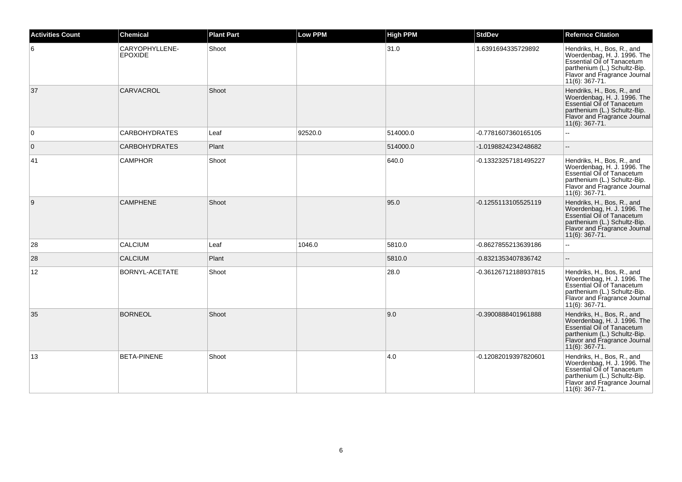| <b>Activities Count</b> | <b>Chemical</b>                  | <b>Plant Part</b> | <b>Low PPM</b> | <b>High PPM</b> | <b>StdDev</b>        | <b>Refernce Citation</b>                                                                                                                                                         |
|-------------------------|----------------------------------|-------------------|----------------|-----------------|----------------------|----------------------------------------------------------------------------------------------------------------------------------------------------------------------------------|
| 6                       | CARYOPHYLLENE-<br><b>EPOXIDE</b> | Shoot             |                | 31.0            | 1.6391694335729892   | Hendriks, H., Bos, R., and<br>Woerdenbag, H. J. 1996. The<br><b>Essential Oil of Tanacetum</b><br>parthenium (L.) Schultz-Bip.<br>Flavor and Fragrance Journal<br>11(6): 367-71. |
| 37                      | <b>CARVACROL</b>                 | Shoot             |                |                 |                      | Hendriks, H., Bos, R., and<br>Woerdenbag, H. J. 1996. The<br>Essential Oil of Tanacetum<br>parthenium (L.) Schultz-Bip.<br>Flavor and Fragrance Journal<br>$11(6)$ : 367-71.     |
| $\overline{0}$          | <b>CARBOHYDRATES</b>             | Leaf              | 92520.0        | 514000.0        | -0.7781607360165105  |                                                                                                                                                                                  |
| $\overline{0}$          | <b>CARBOHYDRATES</b>             | Plant             |                | 514000.0        | -1.0198824234248682  | Ξ.                                                                                                                                                                               |
| 41                      | <b>CAMPHOR</b>                   | Shoot             |                | 640.0           | -0.13323257181495227 | Hendriks, H., Bos, R., and<br>Woerdenbag, H. J. 1996. The<br>Essential Oil of Tanacetum<br>parthenium (L.) Schultz-Bip.<br>Flavor and Fragrance Journal<br>$11(6)$ : 367-71.     |
| 9                       | <b>CAMPHENE</b>                  | Shoot             |                | 95.0            | -0.1255113105525119  | Hendriks, H., Bos, R., and<br>Woerdenbag, H. J. 1996. The<br>Essential Oil of Tanacetum<br>parthenium (L.) Schultz-Bip.<br>Flavor and Fragrance Journal<br>$11(6)$ : 367-71.     |
| 28                      | <b>CALCIUM</b>                   | Leaf              | 1046.0         | 5810.0          | -0.8627855213639186  |                                                                                                                                                                                  |
| 28                      | <b>CALCIUM</b>                   | Plant             |                | 5810.0          | -0.8321353407836742  |                                                                                                                                                                                  |
| 12                      | <b>BORNYL-ACETATE</b>            | Shoot             |                | 28.0            | -0.36126712188937815 | Hendriks, H., Bos, R., and<br>Woerdenbag, H. J. 1996. The<br>Essential Oil of Tanacetum<br>parthenium (L.) Schultz-Bip.<br>Flavor and Fragrance Journal<br>11(6): 367-71.        |
| 35                      | <b>BORNEOL</b>                   | Shoot             |                | 9.0             | -0.3900888401961888  | Hendriks, H., Bos, R., and<br>Woerdenbag, H. J. 1996. The<br>Essential Oil of Tanacetum<br>parthenium (L.) Schultz-Bip.<br>Flavor and Fragrance Journal<br>11(6): 367-71.        |
| 13                      | <b>BETA-PINENE</b>               | Shoot             |                | 4.0             | -0.12082019397820601 | Hendriks, H., Bos, R., and<br>Woerdenbag, H. J. 1996. The<br>Essential Oil of Tanacetum<br>parthenium (L.) Schultz-Bip.<br>Flavor and Fragrance Journal<br>$11(6)$ : 367-71.     |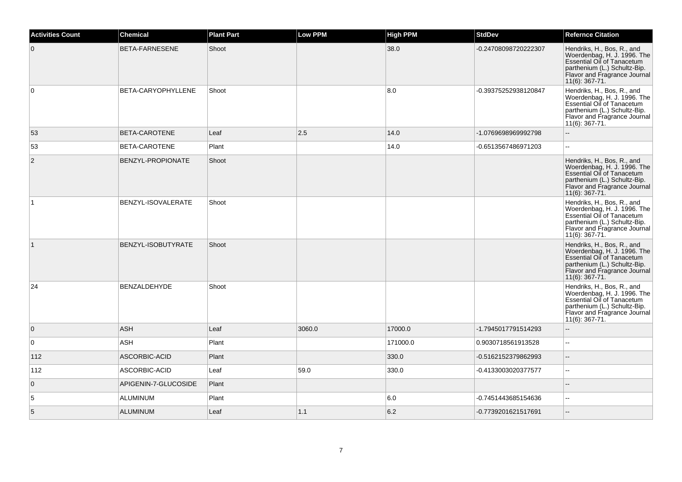| <b>Activities Count</b> | <b>Chemical</b>           | <b>Plant Part</b> | <b>Low PPM</b> | <b>High PPM</b> | <b>StdDev</b>        | <b>Refernce Citation</b>                                                                                                                                                     |
|-------------------------|---------------------------|-------------------|----------------|-----------------|----------------------|------------------------------------------------------------------------------------------------------------------------------------------------------------------------------|
| $\overline{0}$          | BETA-FARNESENE            | Shoot             |                | 38.0            | -0.24708098720222307 | Hendriks, H., Bos, R., and<br>Woerdenbag, H. J. 1996. The<br>Essential Oil of Tanacetum<br>parthenium (L.) Schultz-Bip.<br>Flavor and Fragrance Journal<br>11(6): 367-71.    |
| $\overline{0}$          | <b>BETA-CARYOPHYLLENE</b> | Shoot             |                | 8.0             | -0.39375252938120847 | Hendriks, H., Bos, R., and<br>Woerdenbag, H. J. 1996. The<br>Essential Oil of Tanacetum<br>parthenium (L.) Schultz-Bip.<br>Flavor and Fragrance Journal<br>11(6): 367-71.    |
| 53                      | <b>BETA-CAROTENE</b>      | Leaf              | 2.5            | 14.0            | -1.0769698969992798  | L.                                                                                                                                                                           |
| 53                      | <b>BETA-CAROTENE</b>      | Plant             |                | 14.0            | -0.6513567486971203  | $\sim$                                                                                                                                                                       |
| $\overline{2}$          | BENZYL-PROPIONATE         | Shoot             |                |                 |                      | Hendriks, H., Bos, R., and<br>Woerdenbag, H. J. 1996. The<br>Essential Oil of Tanacetum<br>parthenium (L.) Schultz-Bip.<br>Flavor and Fragrance Journal<br>11(6): 367-71.    |
|                         | BENZYL-ISOVALERATE        | Shoot             |                |                 |                      | Hendriks, H., Bos, R., and<br>Woerdenbag, H. J. 1996. The<br>Essential Oil of Tanacetum<br>parthenium (L.) Schultz-Bip.<br>Flavor and Fragrance Journal<br>11(6): 367-71.    |
| $\vert$ 1               | BENZYL-ISOBUTYRATE        | Shoot             |                |                 |                      | Hendriks, H., Bos, R., and<br>Woerdenbag, H. J. 1996. The<br>Essential Oil of Tanacetum<br>parthenium (L.) Schultz-Bip.<br>Flavor and Fragrance Journal<br>11(6): 367-71.    |
| 24                      | BENZALDEHYDE              | Shoot             |                |                 |                      | Hendriks, H., Bos, R., and<br>Woerdenbag, H. J. 1996. The<br>Essential Oil of Tanacetum<br>parthenium (L.) Schultz-Bip.<br>Flavor and Fragrance Journal<br>$11(6)$ : 367-71. |
| $\overline{0}$          | <b>ASH</b>                | Leaf              | 3060.0         | 17000.0         | -1.7945017791514293  | $\sim$                                                                                                                                                                       |
| 0                       | <b>ASH</b>                | Plant             |                | 171000.0        | 0.9030718561913528   | $\sim$                                                                                                                                                                       |
| 112                     | ASCORBIC-ACID             | Plant             |                | 330.0           | -0.5162152379862993  | $\sim$                                                                                                                                                                       |
| 112                     | ASCORBIC-ACID             | Leaf              | 59.0           | 330.0           | -0.4133003020377577  | $\overline{a}$                                                                                                                                                               |
| $\overline{0}$          | APIGENIN-7-GLUCOSIDE      | Plant             |                |                 |                      | $\sim$                                                                                                                                                                       |
| 5                       | <b>ALUMINUM</b>           | Plant             |                | 6.0             | -0.7451443685154636  | ÷.                                                                                                                                                                           |
| 5                       | <b>ALUMINUM</b>           | Leaf              | 1.1            | 6.2             | -0.7739201621517691  |                                                                                                                                                                              |